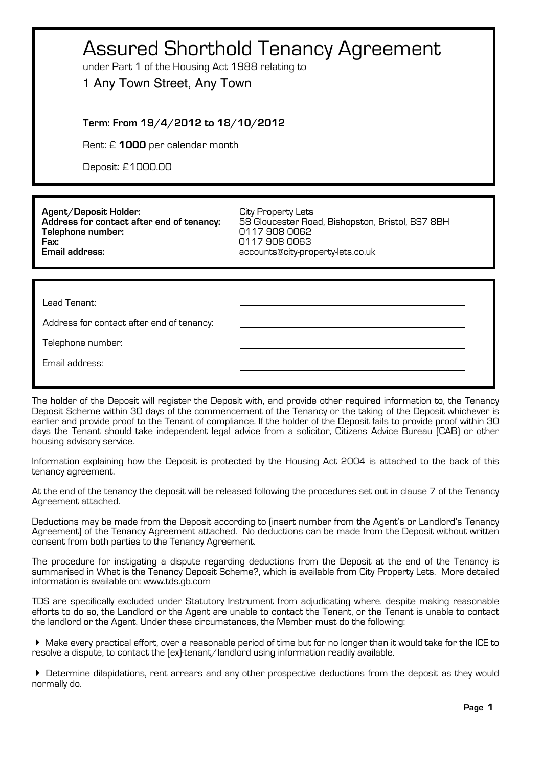| <b>Assured Shorthold Tenancy Agreement</b><br>under Part 1 of the Housing Act 1988 relating to<br>1 Any Town Street, Any Town |                                                                                                                                               |  |
|-------------------------------------------------------------------------------------------------------------------------------|-----------------------------------------------------------------------------------------------------------------------------------------------|--|
| Term: From 19/4/2012 to 18/10/2012                                                                                            |                                                                                                                                               |  |
| Rent: £ 1000 per calendar month                                                                                               |                                                                                                                                               |  |
| Deposit: £1000.00                                                                                                             |                                                                                                                                               |  |
|                                                                                                                               |                                                                                                                                               |  |
| Agent/Deposit Holder:<br>Address for contact after end of tenancy:<br>Telephone number:<br>Fax:<br><b>Email address:</b>      | City Property Lets<br>58 Gloucester Road, Bishopston, Bristol, BS7 8BH<br>0117 908 0062<br>0117 908 0063<br>accounts@city-property-lets.co.uk |  |
|                                                                                                                               |                                                                                                                                               |  |
| Lead Tenant:                                                                                                                  |                                                                                                                                               |  |
| Address for contact after end of tenancy:                                                                                     |                                                                                                                                               |  |
| Telephone number:                                                                                                             |                                                                                                                                               |  |
| Email address:                                                                                                                |                                                                                                                                               |  |

The holder of the Deposit will register the Deposit with, and provide other required information to, the Tenancy Deposit Scheme within 30 days of the commencement of the Tenancy or the taking of the Deposit whichever is earlier and provide proof to the Tenant of compliance. If the holder of the Deposit fails to provide proof within 30 days the Tenant should take independent legal advice from a solicitor, Citizens Advice Bureau (CAB) or other housing advisory service.

Information explaining how the Deposit is protected by the Housing Act 2004 is attached to the back of this tenancy agreement.

At the end of the tenancy the deposit will be released following the procedures set out in clause 7 of the Tenancy Agreement attached.

Deductions may be made from the Deposit according to (insert number from the Agent's or Landlord's Tenancy Agreement) of the Tenancy Agreement attached. No deductions can be made from the Deposit without written consent from both parties to the Tenancy Agreement.

The procedure for instigating a dispute regarding deductions from the Deposit at the end of the Tenancy is summarised in What is the Tenancy Deposit Scheme?, which is available from City Property Lets. More detailed information is available on: www.tds.gb.com

TDS are specifically excluded under Statutory Instrument from adjudicating where, despite making reasonable efforts to do so, the Landlord or the Agent are unable to contact the Tenant, or the Tenant is unable to contact the landlord or the Agent. Under these circumstances, the Member must do the following:

! Make every practical effort, over a reasonable period of time but for no longer than it would take for the ICE to resolve a dispute, to contact the (ex)-tenant/landlord using information readily available.

! Determine dilapidations, rent arrears and any other prospective deductions from the deposit as they would normally do.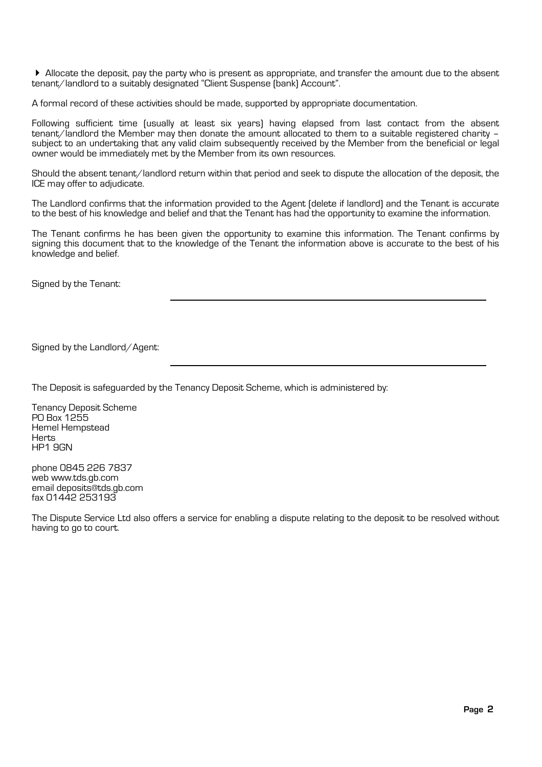! Allocate the deposit, pay the party who is present as appropriate, and transfer the amount due to the absent tenant/landlord to a suitably designated "Client Suspense (bank) Account".

A formal record of these activities should be made, supported by appropriate documentation.

Following sufficient time (usually at least six years) having elapsed from last contact from the absent tenant/landlord the Member may then donate the amount allocated to them to a suitable registered charity – subject to an undertaking that any valid claim subsequently received by the Member from the beneficial or legal owner would be immediately met by the Member from its own resources.

Should the absent tenant/landlord return within that period and seek to dispute the allocation of the deposit, the ICE may offer to adjudicate.

The Landlord confirms that the information provided to the Agent (delete if landlord) and the Tenant is accurate to the best of his knowledge and belief and that the Tenant has had the opportunity to examine the information.

The Tenant confirms he has been given the opportunity to examine this information. The Tenant confirms by signing this document that to the knowledge of the Tenant the information above is accurate to the best of his knowledge and belief.

Signed by the Tenant:

Signed by the Landlord/Agent:

The Deposit is safeguarded by the Tenancy Deposit Scheme, which is administered by:

Tenancy Deposit Scheme PO Box 1255 Hemel Hempstead **Herts** HP1 9GN

phone 0845 226 7837 web www.tds.gb.com email deposits@tds.gb.com fax 01442 253193

The Dispute Service Ltd also offers a service for enabling a dispute relating to the deposit to be resolved without having to go to court.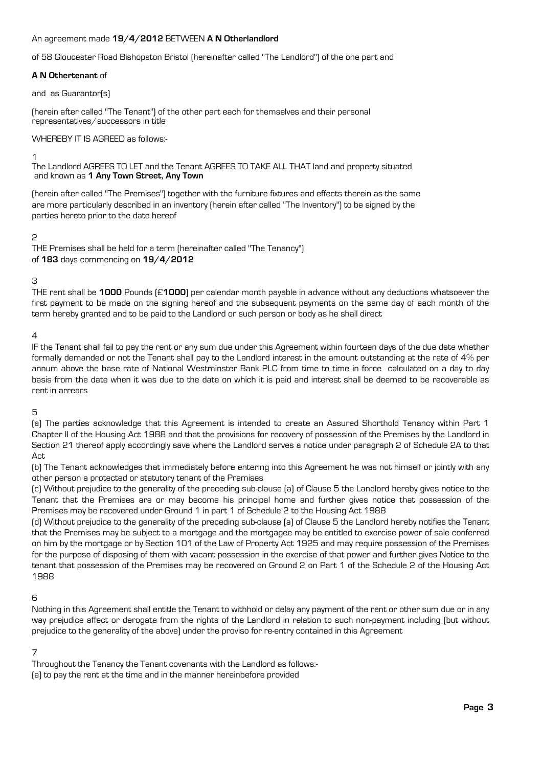## An agreement made **19/4/2012** BETWEEN **A N Otherlandlord**

of 58 Gloucester Road Bishopston Bristol (hereinafter called "The Landlord") of the one part and

## **A N Othertenant** of

and as Guarantor(s)

(herein after called "The Tenant") of the other part each for themselves and their personal representatives/successors in title

## WHEREBY IT IS AGREED as follows:-

1

The Landlord AGREES TO LET and the Tenant AGREES TO TAKE ALL THAT land and property situated and known as **1 Any Town Street, Any Town**

(herein after called "The Premises") together with the furniture fixtures and effects therein as the same are more particularly described in an inventory (herein after called "The Inventory") to be signed by the parties hereto prior to the date hereof

# 2

THE Premises shall be held for a term (hereinafter called "The Tenancy") of **183** days commencing on **19/4/2012**

# 3

THE rent shall be **1000** Pounds (£**1000**) per calendar month payable in advance without any deductions whatsoever the first payment to be made on the signing hereof and the subsequent payments on the same day of each month of the term hereby granted and to be paid to the Landlord or such person or body as he shall direct

# $\Delta$

IF the Tenant shall fail to pay the rent or any sum due under this Agreement within fourteen days of the due date whether formally demanded or not the Tenant shall pay to the Landlord interest in the amount outstanding at the rate of 4% per annum above the base rate of National Westminster Bank PLC from time to time in force calculated on a day to day basis from the date when it was due to the date on which it is paid and interest shall be deemed to be recoverable as rent in arrears

5

(a) The parties acknowledge that this Agreement is intended to create an Assured Shorthold Tenancy within Part 1 Chapter II of the Housing Act 1988 and that the provisions for recovery of possession of the Premises by the Landlord in Section 21 thereof apply accordingly save where the Landlord serves a notice under paragraph 2 of Schedule 2A to that  $\Delta$ ct

(b) The Tenant acknowledges that immediately before entering into this Agreement he was not himself or jointly with any other person a protected or statutory tenant of the Premises

(c) Without prejudice to the generality of the preceding sub-clause (a) of Clause 5 the Landlord hereby gives notice to the Tenant that the Premises are or may become his principal home and further gives notice that possession of the Premises may be recovered under Ground 1 in part 1 of Schedule 2 to the Housing Act 1988

(d) Without prejudice to the generality of the preceding sub-clause (a) of Clause 5 the Landlord hereby notifies the Tenant that the Premises may be subject to a mortgage and the mortgagee may be entitled to exercise power of sale conferred on him by the mortgage or by Section 101 of the Law of Property Act 1925 and may require possession of the Premises for the purpose of disposing of them with vacant possession in the exercise of that power and further gives Notice to the tenant that possession of the Premises may be recovered on Ground 2 on Part 1 of the Schedule 2 of the Housing Act 1988

# 6

Nothing in this Agreement shall entitle the Tenant to withhold or delay any payment of the rent or other sum due or in any way prejudice affect or derogate from the rights of the Landlord in relation to such non-payment including (but without prejudice to the generality of the above) under the proviso for re-entry contained in this Agreement

# 7

Throughout the Tenancy the Tenant covenants with the Landlord as follows:-

(a) to pay the rent at the time and in the manner hereinbefore provided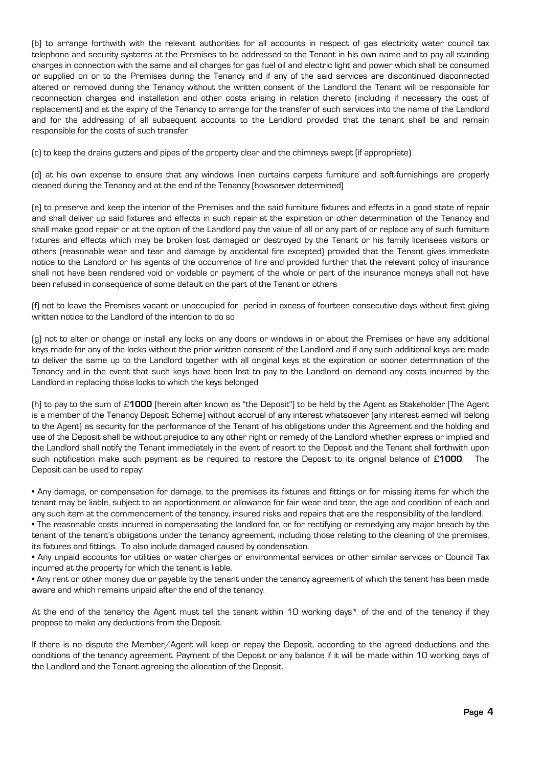(b) to arrange forthwith with the relevant authorities for all accounts in respect of gas electricity water council tax telephone and security systems at the Premises to be addressed to the Tenant in his own name and to pay all standing charges in connection with the same and all charges for gas fuel oil and electric light and power which shall be consumed or supplied on or to the Premises during the Tenancy and if any of the said services are discontinued disconnected altered or removed during the Tenancy without the written consent of the Landlord the Tenant will be responsible for reconnection charges and installation and other costs arising in relation thereto (including if necessary the cost of replacement) and at the expiry of the Tenancy to arrange for the transfer of such services into the name of the Landlord and for the addressing of all subsequent accounts to the Landlord provided that the tenant shall be and remain responsible for the costs of such transfer

(c) to keep the drains gutters and pipes of the property clear and the chimneys swept (if appropriate)

(d) at his own expense to ensure that any windows linen curtains carpets furniture and soft-furnishings are properly cleaned during the Tenancy and at the end of the Tenancy (howsoever determined)

(e) to preserve and keep the interior of the Premises and the said furniture fixtures and effects in a good state of repair and shall deliver up said fixtures and effects in such repair at the expiration or other determination of the Tenancy and shall make good repair or at the option of the Landlord pay the value of all or any part of or replace any of such furniture fixtures and effects which may be broken lost damaged or destroyed by the Tenant or his family licensees visitors or others (reasonable wear and tear and damage by accidental fire excepted) provided that the Tenant gives immediate notice to the Landlord or his agents of the occurrence of fire and provided further that the relevant policy of insurance shall not have been rendered void or voidable or payment of the whole or part of the insurance moneys shall not have been refused in consequence of some default on the part of the Tenant or others

(f) not to leave the Premises vacant or unoccupied for period in excess of fourteen consecutive days without first giving written notice to the Landlord of the intention to do so

(g) not to alter or change or install any locks on any doors or windows in or about the Premises or have any additional keys made for any of the locks without the prior written consent of the Landlord and if any such additional keys are made to deliver the same up to the Landlord together with all original keys at the expiration or sooner determination of the Tenancy and in the event that such keys have been lost to pay to the Landlord on demand any costs incurred by the Landlord in replacing those locks to which the keys belonged

(h) to pay to the sum of £**1000** (herein after known as "the Deposit") to be held by the Agent as Stakeholder (The Agent is a member of the Tenancy Deposit Scheme) without accrual of any interest whatsoever (any interest earned will belong to the Agent) as security for the performance of the Tenant of his obligations under this Agreement and the holding and use of the Deposit shall be without prejudice to any other right or remedy of the Landlord whether express or implied and the Landlord shall notify the Tenant immediately in the event of resort to the Deposit and the Tenant shall forthwith upon such notification make such payment as be required to restore the Deposit to its original balance of £**1000**. The Deposit can be used to repay:

• Any damage, or compensation for damage, to the premises its fixtures and fittings or for missing items for which the tenant may be liable, subject to an apportionment or allowance for fair wear and tear, the age and condition of each and any such item at the commencement of the tenancy, insured risks and repairs that are the responsibility of the landlord.

• The reasonable costs incurred in compensating the landlord for, or for rectifying or remedying any major breach by the tenant of the tenant's obligations under the tenancy agreement, including those relating to the cleaning of the premises, its fixtures and fittings. To also include damaged caused by condensation.

• Any unpaid accounts for utilities or water charges or environmental services or other similar services or Council Tax incurred at the property for which the tenant is liable.

• Any rent or other money due or payable by the tenant under the tenancy agreement of which the tenant has been made aware and which remains unpaid after the end of the tenancy.

At the end of the tenancy the Agent must tell the tenant within 10 working days\* of the end of the tenancy if they propose to make any deductions from the Deposit.

If there is no dispute the Member/Agent will keep or repay the Deposit, according to the agreed deductions and the conditions of the tenancy agreement. Payment of the Deposit or any balance if it will be made within 10 working days of the Landlord and the Tenant agreeing the allocation of the Deposit.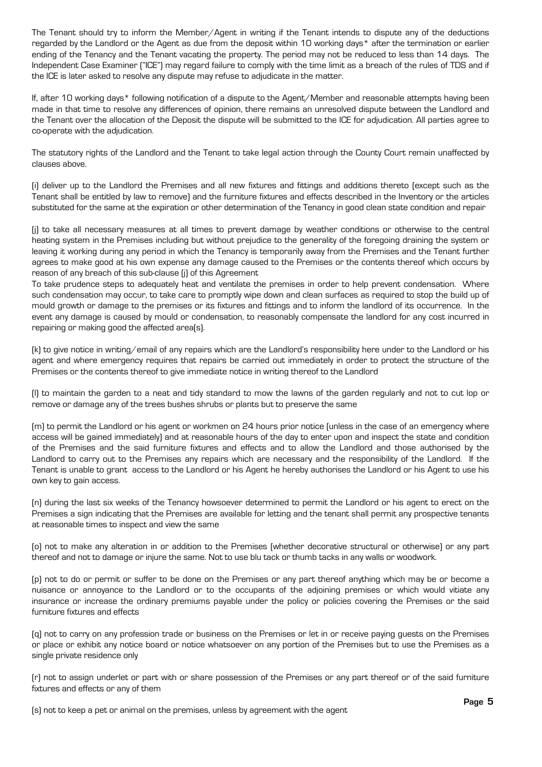The Tenant should try to inform the Member/Agent in writing if the Tenant intends to dispute any of the deductions regarded by the Landlord or the Agent as due from the deposit within 10 working days\* after the termination or earlier ending of the Tenancy and the Tenant vacating the property. The period may not be reduced to less than 14 days. The Independent Case Examiner ("ICE") may regard failure to comply with the time limit as a breach of the rules of TDS and if the ICE is later asked to resolve any dispute may refuse to adjudicate in the matter.

If, after 10 working days\* following notification of a dispute to the Agent/Member and reasonable attempts having been made in that time to resolve any differences of opinion, there remains an unresolved dispute between the Landlord and the Tenant over the allocation of the Deposit the dispute will be submitted to the ICE for adjudication. All parties agree to co-operate with the adjudication.

The statutory rights of the Landlord and the Tenant to take legal action through the County Court remain unaffected by clauses above.

(i) deliver up to the Landlord the Premises and all new fixtures and fittings and additions thereto (except such as the Tenant shall be entitled by law to remove) and the furniture fixtures and effects described in the Inventory or the articles substituted for the same at the expiration or other determination of the Tenancy in good clean state condition and repair

(j) to take all necessary measures at all times to prevent damage by weather conditions or otherwise to the central heating system in the Premises including but without prejudice to the generality of the foregoing draining the system or leaving it working during any period in which the Tenancy is temporarily away from the Premises and the Tenant further agrees to make good at his own expense any damage caused to the Premises or the contents thereof which occurs by reason of any breach of this sub-clause (j) of this Agreement

To take prudence steps to adequately heat and ventilate the premises in order to help prevent condensation. Where such condensation may occur, to take care to promptly wipe down and clean surfaces as required to stop the build up of mould growth or damage to the premises or its fixtures and fittings and to inform the landlord of its occurrence. In the event any damage is caused by mould or condensation, to reasonably compensate the landlord for any cost incurred in repairing or making good the affected area(s).

(k) to give notice in writing/email of any repairs which are the Landlord's responsibility here under to the Landlord or his agent and where emergency requires that repairs be carried out immediately in order to protect the structure of the Premises or the contents thereof to give immediate notice in writing thereof to the Landlord

(l) to maintain the garden to a neat and tidy standard to mow the lawns of the garden regularly and not to cut lop or remove or damage any of the trees bushes shrubs or plants but to preserve the same

(m) to permit the Landlord or his agent or workmen on 24 hours prior notice (unless in the case of an emergency where access will be gained immediately) and at reasonable hours of the day to enter upon and inspect the state and condition of the Premises and the said furniture fixtures and effects and to allow the Landlord and those authorised by the Landlord to carry out to the Premises any repairs which are necessary and the responsibility of the Landlord. If the Tenant is unable to grant access to the Landlord or his Agent he hereby authorises the Landlord or his Agent to use his own key to gain access.

(n) during the last six weeks of the Tenancy howsoever determined to permit the Landlord or his agent to erect on the Premises a sign indicating that the Premises are available for letting and the tenant shall permit any prospective tenants at reasonable times to inspect and view the same

(o) not to make any alteration in or addition to the Premises (whether decorative structural or otherwise) or any part thereof and not to damage or injure the same. Not to use blu tack or thumb tacks in any walls or woodwork.

(p) not to do or permit or suffer to be done on the Premises or any part thereof anything which may be or become a nuisance or annoyance to the Landlord or to the occupants of the adjoining premises or which would vitiate any insurance or increase the ordinary premiums payable under the policy or policies covering the Premises or the said furniture fixtures and effects

(q) not to carry on any profession trade or business on the Premises or let in or receive paying guests on the Premises or place or exhibit any notice board or notice whatsoever on any portion of the Premises but to use the Premises as a single private residence only

(r) not to assign underlet or part with or share possession of the Premises or any part thereof or of the said furniture fixtures and effects or any of them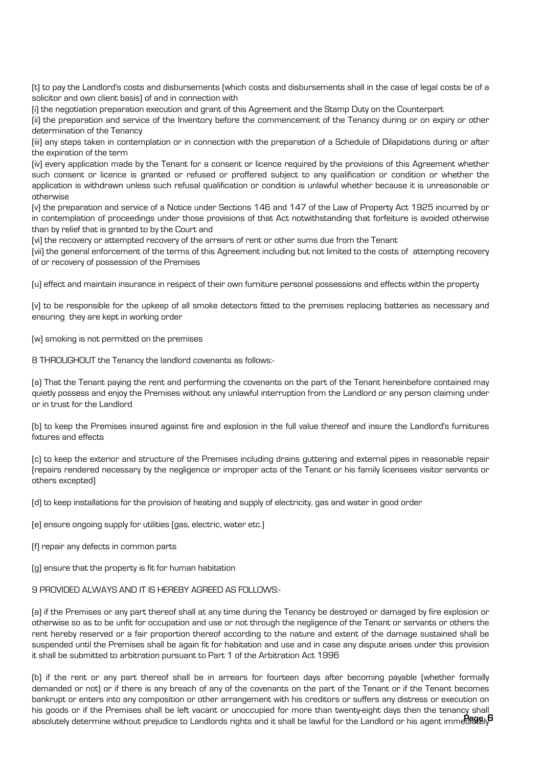(t) to pay the Landlord's costs and disbursements (which costs and disbursements shall in the case of legal costs be of a solicitor and own client basis) of and in connection with

(i) the negotiation preparation execution and grant of this Agreement and the Stamp Duty on the Counterpart

(ii) the preparation and service of the Inventory before the commencement of the Tenancy during or on expiry or other determination of the Tenancy

(iii) any steps taken in contemplation or in connection with the preparation of a Schedule of Dilapidations during or after the expiration of the term

(iv) every application made by the Tenant for a consent or licence required by the provisions of this Agreement whether such consent or licence is granted or refused or proffered subject to any qualification or condition or whether the application is withdrawn unless such refusal qualification or condition is unlawful whether because it is unreasonable or otherwise

(v) the preparation and service of a Notice under Sections 146 and 147 of the Law of Property Act 1925 incurred by or in contemplation of proceedings under those provisions of that Act notwithstanding that forfeiture is avoided otherwise than by relief that is granted to by the Court and

(vi) the recovery or attempted recovery of the arrears of rent or other sums due from the Tenant

(vii) the general enforcement of the terms of this Agreement including but not limited to the costs of attempting recovery of or recovery of possession of the Premises

(u) effect and maintain insurance in respect of their own furniture personal possessions and effects within the property

(v) to be responsible for the upkeep of all smoke detectors fitted to the premises replacing batteries as necessary and ensuring they are kept in working order

(w) smoking is not permitted on the premises

8 THROUGHOUT the Tenancy the landlord covenants as follows:-

(a) That the Tenant paying the rent and performing the covenants on the part of the Tenant hereinbefore contained may quietly possess and enjoy the Premises without any unlawful interruption from the Landlord or any person claiming under or in trust for the Landlord

(b) to keep the Premises insured against fire and explosion in the full value thereof and insure the Landlord's furnitures fixtures and effects

(c) to keep the exterior and structure of the Premises including drains guttering and external pipes in reasonable repair (repairs rendered necessary by the negligence or improper acts of the Tenant or his family licensees visitor servants or others excepted)

(d) to keep installations for the provision of heating and supply of electricity, gas and water in good order

(e) ensure ongoing supply for utilities (gas, electric, water etc.)

(f) repair any defects in common parts

(g) ensure that the property is fit for human habitation

## 9 PROVIDED ALWAYS AND IT IS HEREBY AGREED AS FOLLOWS:-

(a) if the Premises or any part thereof shall at any time during the Tenancy be destroyed or damaged by fire explosion or otherwise so as to be unfit for occupation and use or not through the negligence of the Tenant or servants or others the rent hereby reserved or a fair proportion thereof according to the nature and extent of the damage sustained shall be suspended until the Premises shall be again fit for habitation and use and in case any dispute arises under this provision it shall be submitted to arbitration pursuant to Part 1 of the Arbitration Act 1996

(b) if the rent or any part thereof shall be in arrears for fourteen days after becoming payable (whether formally demanded or not) or if there is any breach of any of the covenants on the part of the Tenant or if the Tenant becomes bankrupt or enters into any composition or other arrangement with his creditors or suffers any distress or execution on his goods or if the Premises shall be left vacant or unoccupied for more than twenty-eight days then the tenancy shall absolutely determine without prejudice to Landlords rights and it shall be lawful for the Landlord or his agent immediately **Page 6**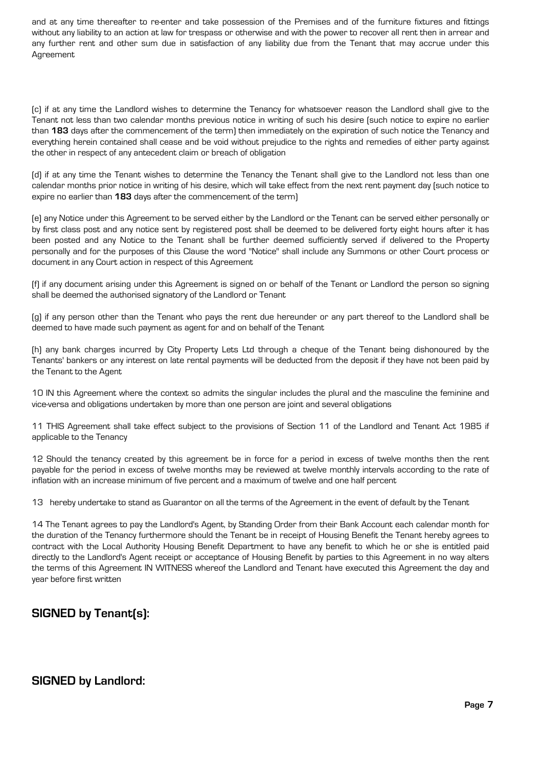and at any time thereafter to re-enter and take possession of the Premises and of the furniture fixtures and fittings without any liability to an action at law for trespass or otherwise and with the power to recover all rent then in arrear and any further rent and other sum due in satisfaction of any liability due from the Tenant that may accrue under this Agreement

(c) if at any time the Landlord wishes to determine the Tenancy for whatsoever reason the Landlord shall give to the Tenant not less than two calendar months previous notice in writing of such his desire (such notice to expire no earlier than **183** days after the commencement of the term) then immediately on the expiration of such notice the Tenancy and everything herein contained shall cease and be void without prejudice to the rights and remedies of either party against the other in respect of any antecedent claim or breach of obligation

(d) if at any time the Tenant wishes to determine the Tenancy the Tenant shall give to the Landlord not less than one calendar months prior notice in writing of his desire, which will take effect from the next rent payment day (such notice to expire no earlier than **183** days after the commencement of the term)

(e) any Notice under this Agreement to be served either by the Landlord or the Tenant can be served either personally or by first class post and any notice sent by registered post shall be deemed to be delivered forty eight hours after it has been posted and any Notice to the Tenant shall be further deemed sufficiently served if delivered to the Property personally and for the purposes of this Clause the word "Notice" shall include any Summons or other Court process or document in any Court action in respect of this Agreement

(f) if any document arising under this Agreement is signed on or behalf of the Tenant or Landlord the person so signing shall be deemed the authorised signatory of the Landlord or Tenant

(g) if any person other than the Tenant who pays the rent due hereunder or any part thereof to the Landlord shall be deemed to have made such payment as agent for and on behalf of the Tenant

(h) any bank charges incurred by City Property Lets Ltd through a cheque of the Tenant being dishonoured by the Tenants' bankers or any interest on late rental payments will be deducted from the deposit if they have not been paid by the Tenant to the Agent

10 IN this Agreement where the context so admits the singular includes the plural and the masculine the feminine and vice-versa and obligations undertaken by more than one person are joint and several obligations

11 THIS Agreement shall take effect subject to the provisions of Section 11 of the Landlord and Tenant Act 1985 if applicable to the Tenancy

12 Should the tenancy created by this agreement be in force for a period in excess of twelve months then the rent payable for the period in excess of twelve months may be reviewed at twelve monthly intervals according to the rate of inflation with an increase minimum of five percent and a maximum of twelve and one half percent

13 hereby undertake to stand as Guarantor on all the terms of the Agreement in the event of default by the Tenant

14 The Tenant agrees to pay the Landlord's Agent, by Standing Order from their Bank Account each calendar month for the duration of the Tenancy furthermore should the Tenant be in receipt of Housing Benefit the Tenant hereby agrees to contract with the Local Authority Housing Benefit Department to have any benefit to which he or she is entitled paid directly to the Landlord's Agent receipt or acceptance of Housing Benefit by parties to this Agreement in no way alters the terms of this Agreement IN WITNESS whereof the Landlord and Tenant have executed this Agreement the day and year before first written

# **SIGNED by Tenant(s):**

# **SIGNED by Landlord:**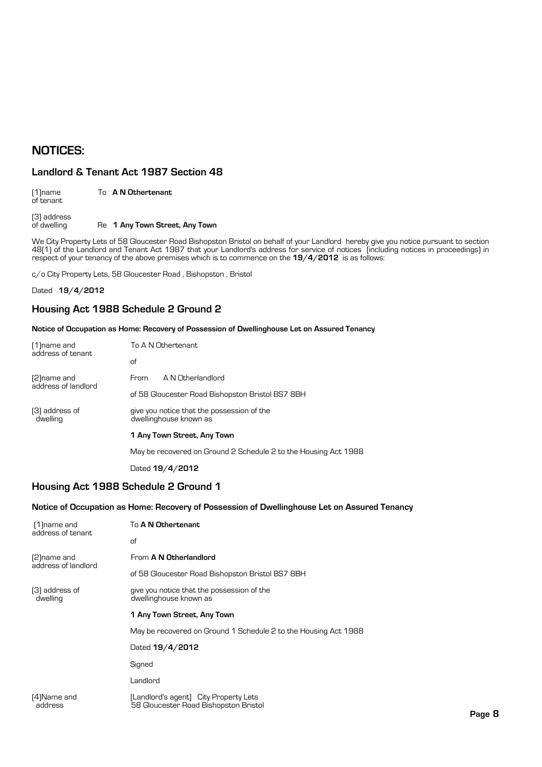# **NOTICES:**

# **Landlord & Tenant Act 1987 Section 48**

| $[1]$ name<br>of tenant    | To A N Othertenant             |
|----------------------------|--------------------------------|
| (3) address<br>of dwelling | Re 1 Any Town Street, Any Town |

We City Property Lets of 58 Gloucester Road Bishopston Bristol on behalf of your Landlord hereby give you notice pursuant to section 48(1) of the Landlord and Tenant Act 1987 that your Landlord's address for service of notices (including notices in proceedings) in respect of your tenancy of the above premises which is to commence on the **19/4/2012** is as follows:

c/o City Property Lets, 58 Gloucester Road , Bishopston , Bristol

Dated **19/4/2012**

# **Housing Act 1988 Schedule 2 Ground 2**

## **Notice of Occupation as Home: Recovery of Possession of Dwellinghouse Let on Assured Tenancy**

| [1] name and<br>address of tenant   | To A N Othertenant                                                   |                                                  |  |
|-------------------------------------|----------------------------------------------------------------------|--------------------------------------------------|--|
|                                     | of                                                                   |                                                  |  |
| [2] name and<br>address of landlord | From                                                                 | A N Otherlandlord                                |  |
|                                     |                                                                      | of 58 Gloucester Road Bishopston Bristol BS7 8BH |  |
| (3) address of<br>dwelling          | give you notice that the possession of the<br>dwellinghouse known as |                                                  |  |
|                                     |                                                                      | 1 Any Town Street, Any Town                      |  |
|                                     | May be recovered on Ground 2 Schedule 2 to the Housing Act 1988      |                                                  |  |
|                                     |                                                                      | Dated 19/4/2012                                  |  |

# **Housing Act 1988 Schedule 2 Ground 1**

## **Notice of Occupation as Home: Recovery of Possession of Dwellinghouse Let on Assured Tenancy**

| [1] name and<br>address of tenant   | To A N Othertenant                                                             |  |
|-------------------------------------|--------------------------------------------------------------------------------|--|
|                                     | of                                                                             |  |
| [2] name and<br>address of landlord | From A N Otherlandlord                                                         |  |
|                                     | of 58 Gloucester Road Bishopston Bristol BS7 8BH                               |  |
| [3] address of<br>dwelling          | give you notice that the possession of the<br>dwellinghouse known as           |  |
|                                     | 1 Any Town Street, Any Town                                                    |  |
|                                     | May be recovered on Ground 1 Schedule 2 to the Housing Act 1988                |  |
|                                     | Dated 19/4/2012                                                                |  |
|                                     | Signed                                                                         |  |
|                                     | Landlord                                                                       |  |
| [4]Name and<br>address              | [Landlord's agent] City Property Lets<br>58 Gloucester Road Bishopston Bristol |  |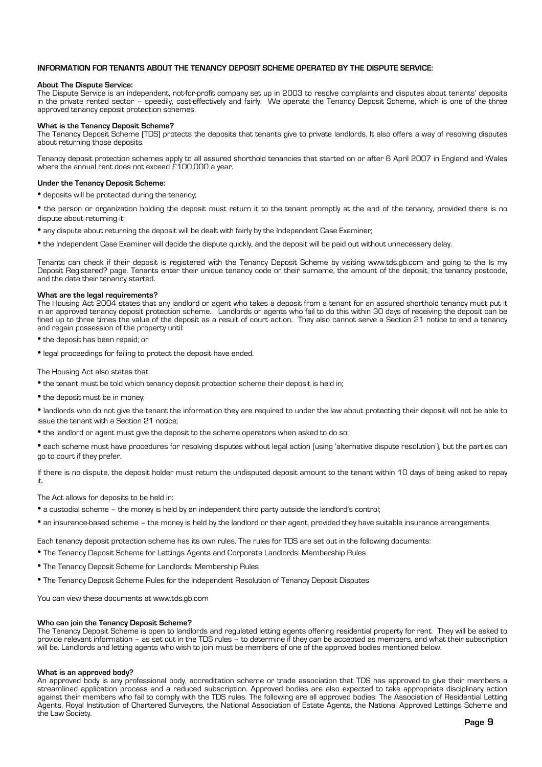## **INFORMATION FOR TENANTS ABOUT THE TENANCY DEPOSIT SCHEME OPERATED BY THE DISPUTE SERVICE:**

### **About The Dispute Service:**

The Dispute Service is an independent, not-for-profit company set up in 2003 to resolve complaints and disputes about tenants' deposits in the private rented sector – speedily, cost-effectively and fairly. We operate the Tenancy Deposit Scheme, which is one of the three approved tenancy deposit protection schemes.

## **What is the Tenancy Deposit Scheme?**

The Tenancy Deposit Scheme (TDS) protects the deposits that tenants give to private landlords. It also offers a way of resolving disputes about returning those deposits.

Tenancy deposit protection schemes apply to all assured shorthold tenancies that started on or after 6 April 2007 in England and Wales where the annual rent does not exceed £100,000 a year.

### **Under the Tenancy Deposit Scheme:**

- deposits will be protected during the tenancy;
- the person or organization holding the deposit must return it to the tenant promptly at the end of the tenancy, provided there is no dispute about returning it;
- any dispute about returning the deposit will be dealt with fairly by the Independent Case Examiner;
- the Independent Case Examiner will decide the dispute quickly, and the deposit will be paid out without unnecessary delay.

Tenants can check if their deposit is registered with the Tenancy Deposit Scheme by visiting www.tds.gb.com and going to the Is my Deposit Registered? page. Tenants enter their unique tenancy code or their surname, the amount of the deposit, the tenancy postcode, and the date their tenancy started.

### **What are the legal requirements?**

The Housing Act 2004 states that any landlord or agent who takes a deposit from a tenant for an assured shorthold tenancy must put it in an approved tenancy deposit protection scheme. Landlords or agents who fail to do this within 30 days of receiving the deposit can be fined up to three times the value of the deposit as a result of court action. They also cannot serve a Section 21 notice to end a tenancy and regain possession of the property until:

• the deposit has been repaid; or

• legal proceedings for failing to protect the deposit have ended.

The Housing Act also states that:

- the tenant must be told which tenancy deposit protection scheme their deposit is held in;
- the deposit must be in money;

• landlords who do not give the tenant the information they are required to under the law about protecting their deposit will not be able to issue the tenant with a Section 21 notice;

• the landlord or agent must give the deposit to the scheme operators when asked to do so;

• each scheme must have procedures for resolving disputes without legal action (using 'alternative dispute resolution'), but the parties can go to court if they prefer.

If there is no dispute, the deposit holder must return the undisputed deposit amount to the tenant within 10 days of being asked to repay it.

The Act allows for deposits to be held in:

- a custodial scheme the money is held by an independent third party outside the landlord's control;
- an insurance-based scheme the money is held by the landlord or their agent, provided they have suitable insurance arrangements.

Each tenancy deposit protection scheme has its own rules. The rules for TDS are set out in the following documents:

- The Tenancy Deposit Scheme for Lettings Agents and Corporate Landlords: Membership Rules
- The Tenancy Deposit Scheme for Landlords: Membership Rules
- The Tenancy Deposit Scheme Rules for the Independent Resolution of Tenancy Deposit Disputes

You can view these documents at www.tds.gb.com

### **Who can join the Tenancy Deposit Scheme?**

The Tenancy Deposit Scheme is open to landlords and regulated letting agents offering residential property for rent. They will be asked to provide relevant information – as set out in the TDS rules – to determine if they can be accepted as members, and what their subscription will be. Landlords and letting agents who wish to join must be members of one of the approved bodies mentioned below.

## **What is an approved body?**

An approved body is any professional body, accreditation scheme or trade association that TDS has approved to give their members a streamlined application process and a reduced subscription. Approved bodies are also expected to take appropriate disciplinary action against their members who fail to comply with the TDS rules. The following are all approved bodies: The Association of Residential Letting Agents, Royal Institution of Chartered Surveyors, the National Association of Estate Agents, the National Approved Lettings Scheme and the Law Society.